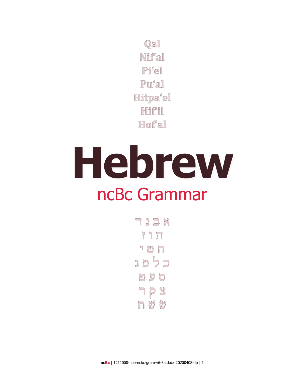QaI Nifal Pi'el Pu'al Hitpa'el **Hifil** Hoffal

# **Hebrew** ncBc Grammar

 $Z = 12$  $897$ **988**  $3B52$ 989  $778$ 日的的

**ncBc** | 1211000-heb-ncbc-gram-v6-3a.docx 20200408-4p | 1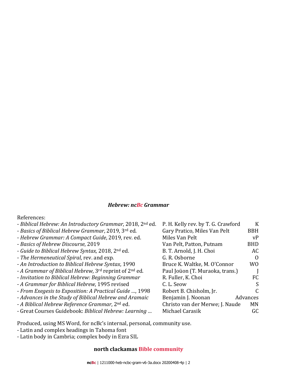## *Hebrew: ncBc Grammar*

| References: |
|-------------|
|-------------|

| Gary Pratico, Miles Van Pelt<br>- Basics of Biblical Hebrew Grammar, 2019, 3rd ed.<br><b>BBH</b><br>- Hebrew Grammar: A Compact Guide, 2019, rev. ed.<br>Miles Van Pelt<br>vP<br>- Basics of Hebrew Discourse, 2019<br>Van Pelt, Patton, Putnam<br><b>BHD</b><br>- Guide to Biblical Hebrew Syntax, 2018, 2nd ed.<br>B. T. Arnold, J. H. Choi<br>AC<br>- The Hermeneutical Spiral, rev. and exp.<br>G. R. Osborne<br>$\Omega$<br>- An Introduction to Biblical Hebrew Syntax, 1990<br>Bruce K. Waltke, M. O'Connor<br>W <sub>0</sub><br>- A Grammar of Biblical Hebrew, 3rd reprint of 2nd ed.<br>Paul Joüon (T. Muraoka, trans.) |
|-----------------------------------------------------------------------------------------------------------------------------------------------------------------------------------------------------------------------------------------------------------------------------------------------------------------------------------------------------------------------------------------------------------------------------------------------------------------------------------------------------------------------------------------------------------------------------------------------------------------------------------|
|                                                                                                                                                                                                                                                                                                                                                                                                                                                                                                                                                                                                                                   |
|                                                                                                                                                                                                                                                                                                                                                                                                                                                                                                                                                                                                                                   |
|                                                                                                                                                                                                                                                                                                                                                                                                                                                                                                                                                                                                                                   |
|                                                                                                                                                                                                                                                                                                                                                                                                                                                                                                                                                                                                                                   |
|                                                                                                                                                                                                                                                                                                                                                                                                                                                                                                                                                                                                                                   |
|                                                                                                                                                                                                                                                                                                                                                                                                                                                                                                                                                                                                                                   |
|                                                                                                                                                                                                                                                                                                                                                                                                                                                                                                                                                                                                                                   |
| - Invitation to Biblical Hebrew: Beginning Grammar<br>R. Fuller, K. Choi<br>FC.                                                                                                                                                                                                                                                                                                                                                                                                                                                                                                                                                   |
| - A Grammar for Biblical Hebrew, 1995 revised<br>C. L. Seow<br>S                                                                                                                                                                                                                                                                                                                                                                                                                                                                                                                                                                  |
| - From Exegesis to Exposition: A Practical Guide , 1998<br>Robert B. Chisholm, Jr.<br>C                                                                                                                                                                                                                                                                                                                                                                                                                                                                                                                                           |
| - Advances in the Study of Biblical Hebrew and Aramaic<br>Benjamin J. Noonan<br>Advances                                                                                                                                                                                                                                                                                                                                                                                                                                                                                                                                          |
| - A Biblical Hebrew Reference Grammar, 2nd ed.<br>Christo van der Merwe; J. Naude<br><b>MN</b>                                                                                                                                                                                                                                                                                                                                                                                                                                                                                                                                    |
| - Great Courses Guidebook: Biblical Hebrew: Learning<br>Michael Carasik<br>GC                                                                                                                                                                                                                                                                                                                                                                                                                                                                                                                                                     |

Produced, using MS Word, for ncBc's internal, personal, community use.

- Latin and complex headings in Tahoma font
- Latin body in Cambria; complex body in Ezra SIL

# **north clackamas Bible community**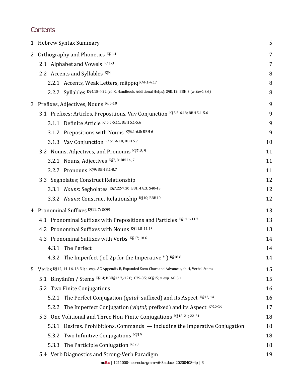# **Contents**

|   | 1 Hebrew Syntax Summary                                                                                | 5  |
|---|--------------------------------------------------------------------------------------------------------|----|
| 2 | Orthography and Phonetics K§1-4                                                                        | 7  |
|   | 2.1 Alphabet and Vowels $K$1-3$                                                                        | 7  |
|   | 2.2 Accents and Syllables K§4                                                                          | 8  |
|   | 2.2.1 Accents, Weak Letters, măppîq K§4.1-4.17                                                         | 8  |
|   | 2.2.2 Syllables K§4.18-4.22 (cf. K. Handbook, Additional Helps); S§II.12; BBH 3 (w. ševā 3.6)          | 8  |
| 3 | Prefixes, Adjectives, Nouns K§5-10                                                                     | 9  |
|   | 3.1 Prefixes: Articles, Prepositions, Vav Conjunction K§5.5-6.18; BBH 5.1-5.6                          | 9  |
|   | 3.1.1 Definite Article K§5.5-5.11; BBH 5.1-5.6                                                         | 9  |
|   | 3.1.2 Prepositions with Nouns K§6.1-6.8; BBH 6                                                         | 9  |
|   | 3.1.3 Vav Conjunction K§6.9-6.18; BBH 5.7                                                              | 10 |
|   | 3.2 Nouns, Adjectives, and Pronouns K§7, 8, 9                                                          | 11 |
|   | 3.2.1 Nouns, Adjectives K§7, 8; BBH 4, 7                                                               | 11 |
|   | 3.2.2 Pronouns K§9; BBH 8.1-8.7                                                                        | 11 |
|   | 3.3 Segholates; Construct Relationship                                                                 | 12 |
|   | 3.3.1 Nouns: Segholates K§7.22-7.30; BBH 4.8.3; S40-43                                                 | 12 |
|   | 3.3.2 Nouns: Construct Relationship K§10; BBH10                                                        | 12 |
|   | 4 Pronominal Suffixes K§11, 7; GC§9                                                                    | 13 |
|   | Pronominal Suffixes with Prepositions and Particles K§11.1-11.7<br>4.1                                 | 13 |
|   | 4.2 Pronominal Suffixes with Nouns K§11.8-11.13                                                        | 13 |
|   | 4.3 Pronominal Suffixes with Verbs K§17; 18.6                                                          | 14 |
|   | 4.3.1 The Perfect                                                                                      | 14 |
|   | 4.3.2 The Imperfect (cf. 2p for the Imperative *) K§18.6                                               | 14 |
| 5 | Verbs K§12, 14-16, 18-31; s. esp. AC Appendix B, Expanded Stem Chart and Advances, ch. 4, Verbal Stems | 15 |
|   | Binyānîm / Stems K§14; BBH§12.7,-12.8; C79-85; GC§15; s. esp. AC 3.1<br>5.1                            | 15 |
|   | Two Finite Conjugations<br>5.2                                                                         | 16 |
|   | The Perfect Conjugation ( <i>gatal</i> ; suffixed) and its Aspect K§12, 14<br>5.2.1                    | 16 |
|   | 5.2.2 The Imperfect Conjugation ( <i>yiqtol</i> ; prefixed) and its Aspect K§15-16                     | 17 |
|   | One Volitional and Three Non-Finite Conjugations K§18-21; 22-31<br>5.3                                 | 18 |
|   | 5.3.1 Desires, Prohibitions, Commands — including the Imperative Conjugation                           | 18 |
|   | Two Infinitive Conjugations K§19<br>5.3.2                                                              | 18 |
|   | The Participle Conjugation K§20<br>5.3.3                                                               | 18 |
|   | 5.4 Verb Diagnostics and Strong-Verb Paradigm                                                          | 19 |
|   |                                                                                                        |    |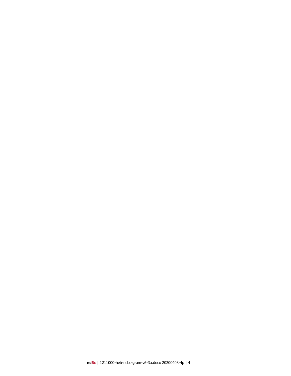**ncBc** | 1211000-heb-ncbc-gram-v6-3a.docx 20200408-4p | 4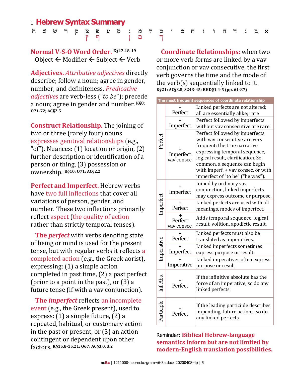# <span id="page-4-0"></span><sup>1</sup> **Hebrew Syntax Summary**

א ב ג ד ה ו ז ח ט י כ ל מ נ ס ע פ צ ק ר שׂ שׁ ת ך ם ן ף ץ

**Normal V-S-O Word Order. K§12.18-19** Object  $\leftarrow$  Modifier  $\leftarrow$  Subject  $\leftarrow$  Verb

**Adjectives.** *Attributive adjectives* directly describe; follow a noun; agree in gender, number, and definiteness. *Predicative adjectives* are verb-less ("*to be*"); precede a noun; agree in gender and number. **K§8; O71-72; AC§2.5**

**Construct Relationship.** The joining of two or three (rarely four) nouns expresses genitival relationships (e.g., "of"). Nuances: (1) location or origin, (2) further description or identification of a person or thing, (3) possession or ownership. . **K§10; O71; AC§2.2**

**Perfect and Imperfect.** Hebrew verbs have two full inflections that cover all variations of person, gender, and number. These two inflections primarily reflect aspect (the quality of action rather than strictly temporal tenses).

**The** *perfect* with verbs denoting state of being or mind is used for the present tense, but with regular verbs it reflects a completed action (e.g., the Greek aorist), expressing: (1) a simple action completed in past time, (2) a past perfect (prior to a point in the past), or (3) a future tense (if with a vav conjunction).

**The** *imperfect* reflects an incomplete event (e.g., the Greek present), used to express: (1) a simple future, (2) a repeated, habitual, or customary action in the past or present, or (3) an action contingent or dependent upon other factors. **K§15.8-15.21; O67; AC§3.0, 3.2**

**Coordinate Relationships:** when two or more verb forms are linked by a vav conjunction or vav consecutive, the first verb governs the time and the mode of the verb(s) sequentially linked to it. **K§21; AC§3.5, S243-45; BHD§1.4-5 (pp. 61-87)**

|            | The most frequent sequences of coordinate relationship |                                                                                                                                                                                                                                                                                 |  |  |  |  |  |  |
|------------|--------------------------------------------------------|---------------------------------------------------------------------------------------------------------------------------------------------------------------------------------------------------------------------------------------------------------------------------------|--|--|--|--|--|--|
|            | Perfect                                                | Linked perfects are not altered;<br>all are essentially alike; rare                                                                                                                                                                                                             |  |  |  |  |  |  |
|            | Imperfect                                              | Perfect followed by imperfects<br>without vav consecutive are rare.                                                                                                                                                                                                             |  |  |  |  |  |  |
| Perfect    | Imperfect<br>vav consec.                               | Perfect followed by imperfects<br>with vav consecutive are very<br>frequent: the true narrative<br>expressing temporal sequence,<br>logical result, clarification. So<br>common, a sequence can begin<br>with imperf. + vav consec. or with<br>imperfect of "to be" ("he was"). |  |  |  |  |  |  |
|            | $\ddot{}$<br>Imperfect                                 | Joined by ordinary vav<br>conjunction, linked imperfects<br>may express outcome or purpose.                                                                                                                                                                                     |  |  |  |  |  |  |
| Imperfect  | ┿<br>Perfect                                           | Linked perfects are used with all<br>meanings, modes of imperfect.                                                                                                                                                                                                              |  |  |  |  |  |  |
|            | Perfect<br>vav consec.                                 | Adds temporal sequence, logical<br>result, volition, apodictic result.                                                                                                                                                                                                          |  |  |  |  |  |  |
|            | $\ddag$<br>Perfect                                     | Linked perfects must also be<br>translated as imperatives.                                                                                                                                                                                                                      |  |  |  |  |  |  |
| Imperative | ╋<br>Imperfect                                         | Linked imperfects sometimes<br>express purpose or result.                                                                                                                                                                                                                       |  |  |  |  |  |  |
|            | Imperative                                             | Linked imperatives often express<br>purpose or result                                                                                                                                                                                                                           |  |  |  |  |  |  |
| Inf. Abs.  | Perfect                                                | If the infinitive absolute has the<br>force of an imperative, so do any<br>linked perfects.                                                                                                                                                                                     |  |  |  |  |  |  |
| Participle | Perfect                                                | If the leading participle describes<br>impending, future actions, so do<br>any linked perfects.                                                                                                                                                                                 |  |  |  |  |  |  |

# Reminder: **Biblical Hebrew-language semantics inform but are not limited by modern-English translation possibilities.**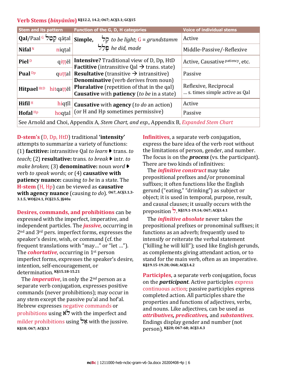#### **Verb Stems (***binyānîm***) K§12.2, 14.2; O67; AC§3.1; GC§15**

| <b>Stem and its pattern</b>                                                            | Function of the G, D, H categories                                                                                                                             | <b>Voice of individual stems</b>                       |  |  |  |  |  |  |
|----------------------------------------------------------------------------------------|----------------------------------------------------------------------------------------------------------------------------------------------------------------|--------------------------------------------------------|--|--|--|--|--|--|
| Qal/Paal G קֲטֵל qāṭal                                                                 | Simple,<br>$\overline{z}$ to be light; G = grundstamm                                                                                                          | Active                                                 |  |  |  |  |  |  |
| $N$ ifal <sup>N</sup><br>niqtal                                                        | he did, made פַּלַל                                                                                                                                            | Middle-Passive/-Reflexive                              |  |  |  |  |  |  |
| Piel <sup>D</sup><br>qittel                                                            | <b>Intensive?</b> Traditional view of D, Dp, HtD<br><b>Factitive</b> (intransitive Qal $\rightarrow$ trans. state)                                             | Active, Causative patiency, etc.                       |  |  |  |  |  |  |
| <b>Pual</b> Dp<br>quttal                                                               | <b>Resultative</b> (transitive $\rightarrow$ intransitive)                                                                                                     | Passive                                                |  |  |  |  |  |  |
| hitqattēl<br>Hitpael HtD                                                               | <b>Denominative</b> (verb derives from noun)<br><b>Pluralative</b> (repetition of that in the qal)<br><b>Causative</b> with <b>patiency</b> (to be in a state) | Reflexive, Reciprocal<br>s. times simple active as Qal |  |  |  |  |  |  |
| Hifil <sup>H</sup><br>hiqtîl                                                           | <b>Causative</b> with <b>agency</b> (to do an action)                                                                                                          | Active                                                 |  |  |  |  |  |  |
| Hofal <sup>Hp</sup><br>hoqtal                                                          | (or H and Hp sometimes permissive)                                                                                                                             | Passive                                                |  |  |  |  |  |  |
| See Arnold and Choi, Appendix A, Stem Chart, and esp., Appendix B, Expanded Stem Chart |                                                                                                                                                                |                                                        |  |  |  |  |  |  |

**D-stem's** (D, Dp, HtD) traditional **'intensity'** attempts to summarize a variety of functions: (1) **factitive:** intransitive Qal *to learn* ➧ trans. *to teach*; (2) **resultative:** trans. *to break* ➧ intr. *to make broken*; (3) **denominative:** noun *word* ➧ verb *to speak words*; or (4) **causative with patiency nuance:** causing *to be* in a state. The **H-stem** (H, Hp) can be viewed as **causative with agency nuance** (causing *to do*). **O67, AC§3.1.3- 3.1.5, WO§24.1, FC§23.5, J§40a**

**Desires, commands, and prohibitions** can be expressed with the imperfect, imperative, and independent particles. The *jussive*, occurring in 2nd and 3rd pers. imperfect forms, expresses the speaker's desire, wish, or command (cf. the frequent translations with "may…" or "let …"). The *cohortative*, occurring in 1st person imperfect forms, expresses the speaker's desire, intention, self-encouragement, or determination. **K§15.18-15.21**

The *imperative*, in only the 2nd person as a separate verb conjugation, expresses positive commands (never prohibitions); may occur in any stem except the passive pu'al and hof'al. Hebrew expresses negative commands or prohibitions using  $\mathbf{x}^3$  with the imperfect and milder prohibitions using  $\overleftrightarrow{\mathbf{x}}$  with the jussive. **K§18; O67; AC§3.3**

**Infinitives**, a separate verb conjugation, express the bare idea of the verb root without the limitations of person, gender, and number. The focus is on the *process* (vs. the participant). There are two kinds of infinitives:

The *infinitive construct* may take prepositional prefixes and/or pronominal suffixes; it often functions like the English gerund ("eating," "drinking") as subject or object; it is used in temporal, purpose, result, and causal clauses; it usually occurs with the preposition ל. **K§19.1-19.14; O67; AC§3.4.1**

The *infinitive absolute* never takes the prepositional prefixes or pronominal suffixes; it functions as an adverb; frequently used to intensify or reiterate the verbal statement ("killing he will kill"); used like English gerunds, as complements giving attendant action, or to stand for the main verb, often as an imperative. **K§19.15-19.28; O68; AC§3.4.2**

**Participles**, a separate verb conjugation, focus on the *participant*. Active participles express continuous action; passive participles express completed action. All participles share the properties and functions of adjectives, verbs, and nouns. Like adjectives, can be used as *attributives, predicatives,* and *substantives*. Endings display gender and number (not person). **K§20; O67-68; AC§3.4.3**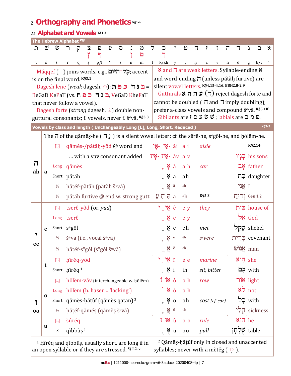# <span id="page-6-0"></span>2 **Orthography and Phonetics K§1-4**

# <span id="page-6-1"></span>2.1 **Alphabet and Vowels K§1-3**

| The Hebrew Alphabet <sup>K§1</sup>                                                                                                                                                                                         |                                                                                                                                      |               |                                                    |   |          |   |   |   |             |    |                                             |                                    |                |   |             |                  |        |          |                               |     |   |
|----------------------------------------------------------------------------------------------------------------------------------------------------------------------------------------------------------------------------|--------------------------------------------------------------------------------------------------------------------------------------|---------------|----------------------------------------------------|---|----------|---|---|---|-------------|----|---------------------------------------------|------------------------------------|----------------|---|-------------|------------------|--------|----------|-------------------------------|-----|---|
| ת                                                                                                                                                                                                                          | ש                                                                                                                                    | ພ             | ₽                                                  | ¥ | Ð        | V | ◘ |   | D           | 7  |                                             |                                    | ம              | Л |             |                  | 亓      |          |                               | ⊐   | x |
| t                                                                                                                                                                                                                          | š                                                                                                                                    | ś             | r<br>q                                             |   | ר<br>p/f |   | S | n | $\Box$<br>m |    | k/kh                                        | y                                  |                | h | Z           | V                | h<br>d |          | g                             | b/v |   |
|                                                                                                                                                                                                                            | <b>N</b> and <b><del>Π</del></b> are weak letters. Syllable-ending <b>N</b><br>Măqqēf ( ־ ) joins words, e.g., כְּלְ־הַיּוֹם, accent |               |                                                    |   |          |   |   |   |             |    |                                             |                                    |                |   |             |                  |        |          |                               |     |   |
| and word-ending $\Pi$ (unless pătăh furtive) are<br>is on the final word. K§3.1                                                                                                                                            |                                                                                                                                      |               |                                                    |   |          |   |   |   |             |    |                                             |                                    |                |   |             |                  |        |          |                               |     |   |
|                                                                                                                                                                                                                            | silent vowel letters. K§4.15-4.16, BBH2.8-2.9<br>Dagesh lene (weak dagesh, ): $\Box$ $\Box$ $\Box$ =                                 |               |                                                    |   |          |   |   |   |             |    |                                             |                                    |                |   |             |                  |        |          |                               |     |   |
|                                                                                                                                                                                                                            | Gutturals <b>K</b> $\pi$ $\pi$ $\pi$ ( $\tau$ ) reject dagesh forte and<br>ReGaD KePaT (vs. כפה, VeGaD KheFaT                        |               |                                                    |   |          |   |   |   |             |    |                                             |                                    |                |   |             |                  |        |          |                               |     |   |
| cannot be doubled ( $\P$ and $\P$ imply doubling);<br>that never follow a vowel).<br>prefer a-class vowels and compound ševā. K§5.1ff<br>Dagesh forte (strong dagesh, c) double non-                                       |                                                                                                                                      |               |                                                    |   |          |   |   |   |             |    |                                             |                                    |                |   |             |                  |        |          |                               |     |   |
|                                                                                                                                                                                                                            | $Sibilants$ are פו ב ; labials are פו ב<br>guttural consonants; f. vowels, never f. ševā. K§3.3                                      |               |                                                    |   |          |   |   |   |             |    |                                             |                                    |                |   |             |                  |        |          |                               |     |   |
| Vowels by class and length ( Unchangeably Long [L], Long, Short, Reduced )<br>$Kg2-3$                                                                                                                                      |                                                                                                                                      |               |                                                    |   |          |   |   |   |             |    |                                             |                                    |                |   |             |                  |        |          |                               |     |   |
| The $\overline{\phantom{a}}$ of the qāmĕs-he ( $\overline{\phantom{a}}$ ) is a silent vowel letter; cf. the sērê-he, segôl-he, and ḥôlĕm-he.                                                                               |                                                                                                                                      |               |                                                    |   |          |   |   |   |             |    |                                             |                                    |                |   |             |                  |        |          |                               |     |   |
|                                                                                                                                                                                                                            |                                                                                                                                      | $[L]$         | qāmĕṣ-/pătăḥ-yôd @ word end                        |   |          |   |   |   |             |    | *ጅ- *ጅ- āi a i                              |                                    |                |   | aisle       |                  |        |          | K§2.14                        |     |   |
|                                                                                                                                                                                                                            |                                                                                                                                      |               | with a vav consonant added                         |   |          |   |   |   |             |    | זי -אַיו -אָיו -אָיו                        |                                    |                |   |             |                  |        |          | his sons בֶּנָיו              |     |   |
| $\overline{\mathbf{u}}$                                                                                                                                                                                                    |                                                                                                                                      | Long          | qāmĕș                                              |   |          |   |   |   |             |    | $\frac{1}{2}$ $\frac{1}{2}$ a               |                                    | a h            |   | car         |                  |        |          | ጋያ father                     |     |   |
| ah                                                                                                                                                                                                                         | a                                                                                                                                    |               | Short pătăh                                        |   |          |   |   |   |             |    | _ ጅ a                                       |                                    | ah             |   |             |                  |        |          | daughter ⊑ֶת                  |     |   |
|                                                                                                                                                                                                                            |                                                                                                                                      | $\frac{1}{2}$ | hātěf-pătăh (pătăh ševā)                           |   |          |   |   |   |             |    | $\frac{1}{2}$ $\frac{1}{2}$ $\frac{3}{4}$   |                                    | ah             |   |             |                  |        | ּז אֲנִי |                               |     |   |
|                                                                                                                                                                                                                            |                                                                                                                                      | $\frac{1}{2}$ | pătăḥ furtive @ end w. strong gutt. הַּחַ עַ       |   |          |   |   |   |             |    |                                             |                                    | a <sub>h</sub> |   | K§5.3       |                  |        |          | רְהָחַ                        |     |   |
|                                                                                                                                                                                                                            |                                                                                                                                      | $[{\rm L}]$   | tsērê-yôd (or, yud)                                |   |          |   |   |   |             |    | $"$ . 'N $\hat{e}$                          |                                    | e y            |   | they        |                  |        |          | house of                      |     |   |
|                                                                                                                                                                                                                            |                                                                                                                                      | Long          | tsērê                                              |   |          |   |   |   |             |    | $\mathbb{R}$ $\mathbb{R}$ e                 |                                    | e y            |   |             |                  |        |          | ን <u>፠</u> God                |     |   |
|                                                                                                                                                                                                                            | e                                                                                                                                    |               | Short segôl                                        |   |          |   |   |   |             |    | . <b>№</b> е                                |                                    | eh             |   | met         |                  |        |          | shekel שֶׁקֶל                 |     |   |
| ٠                                                                                                                                                                                                                          |                                                                                                                                      | $\frac{1}{2}$ | š <sup>e</sup> vā (i.e., vocal š <sup>e</sup> vā)  |   |          |   |   |   |             |    | $\dot{\mathbf{z}}$                          | e                                  | eh             |   | severe      |                  |        |          | covenant בְּרֵית              |     |   |
| ee                                                                                                                                                                                                                         |                                                                                                                                      | $\frac{1}{2}$ | hāṭĕf-s <sup>e</sup> gôl (s <sup>e</sup> gôl ševā) |   |          |   |   |   |             |    | $\aleph$ $e$                                |                                    | eh             |   |             |                  |        |          | <b>Will</b> man               |     |   |
|                                                                                                                                                                                                                            |                                                                                                                                      | $[L]$         | hîrĕq-yôd                                          |   |          |   |   |   |             | ۰. | 'N î                                        |                                    | e e            |   | marine      |                  |        |          | $87\overline{7}$ she          |     |   |
|                                                                                                                                                                                                                            | i                                                                                                                                    | Short         | hîrĕq $1$                                          |   |          |   |   |   |             |    | $\aleph$ i                                  |                                    | ih             |   | sit, bitter |                  |        |          | with עָם                      |     |   |
|                                                                                                                                                                                                                            |                                                                                                                                      | $[L]$         | hôlĕm-vāv (interchangeable w. hôlĕm)               |   |          |   |   |   |             |    | $i$ ix $\hat{o}$                            |                                    | o h            |   | row         |                  |        |          | light ור                      |     |   |
|                                                                                                                                                                                                                            |                                                                                                                                      | Long          | hôlĕm (h. haser = 'lacking')                       |   |          |   |   |   |             |    |                                             | $\dot{\aleph}$ $\ddot{\mathrm{o}}$ | o h            |   |             |                  |        |          | $\mathbf{R}^{\mathbf{L}}$ not |     |   |
|                                                                                                                                                                                                                            | $\mathbf 0$                                                                                                                          | Short         | qāmĕṣ-ḥāṭûf (qāmĕṣ qatan) <sup>2</sup>             |   |          |   |   |   |             |    | $\frac{1}{2}$ $\frac{1}{2}$ 0               |                                    | 0h             |   |             | $cost$ (cf. car) |        |          | with כָל                      |     |   |
| ٦<br>00                                                                                                                                                                                                                    |                                                                                                                                      | $\frac{1}{2}$ | hātěf-qāměs (qāměs ševā)                           |   |          |   |   |   |             |    | $\frac{N}{\pi i}$ $\sum_{i=1}^{N}$ $\delta$ |                                    | oh             |   |             |                  |        |          | sickness חֱלִי                |     |   |
|                                                                                                                                                                                                                            |                                                                                                                                      | $[{\rm L}]$   | šûrĕq                                              |   |          |   |   |   |             |    | $7 N$ $\hat{u}$                             |                                    | 0 <sub>0</sub> |   | rule        |                  |        |          | <b>S</b> 'תהא                 |     |   |
|                                                                                                                                                                                                                            | u                                                                                                                                    | S             |                                                    |   |          |   |   |   |             |    |                                             |                                    |                |   |             |                  |        |          |                               |     |   |
|                                                                                                                                                                                                                            |                                                                                                                                      |               | $q$ ibbûs <sup>1</sup>                             |   |          |   |   |   |             |    | $\mathcal{R}$ u                             |                                    | 00             |   | pull        |                  |        |          | table שְׁלְחָן                |     |   |
| <sup>2</sup> Qāměs-hāṭûf only in closed and unaccented<br><sup>1</sup> Hîrĕq and qĭbbûș, usually short, are long if in<br>an open syllable or if they are stressed. SSII.2.iv<br>syllables; never with a mětěg $(\circ)$ . |                                                                                                                                      |               |                                                    |   |          |   |   |   |             |    |                                             |                                    |                |   |             |                  |        |          |                               |     |   |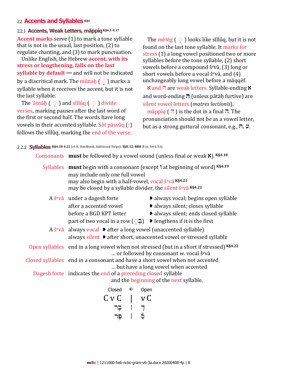#### <span id="page-7-0"></span>2.2 **Accents and Syllables K§4**

#### <span id="page-7-1"></span>2.2.1 **Accents, Weak Letters, măppîqK§4.1-4.17**

**Accent marks** serve (1) to mark a tone syllable that is not in the usual, last position, (2) to regulate chanting, and (3) to mark punctuation.

Unlike English, the Hebrew **accent, with its stress or lengthening, falls on the last syllable by default** — and will not be indicated by a diacritical mark. The  $\text{mûnah}$  ( $\heartsuit$ ) marks a syllable when it receives the accent, but it is not the last syllable.

The 'ătnāḥ (  $\odot$  ) and sĭllûq (  $\odot$  ) divide verses, marking pauses after the last word of the first or second half. The words have long vowels in their accented syllable. Sôf pāssûq  $(:)$ follows the sĭllûq, marking the end of the verse.

The  $m$ ĕtĕg  $( \circ )$  looks like sĭllûq, but it is not found on the last tone syllable. It marks for stress (1) a long vowel positioned two or more syllables before the tone syllable, (2) short vowels before a compound ševā, (3) long or short vowels before a vocal ševā, and (4) unchangeably long vowel before a măqqēf.

א and ה are weak letters. Syllable-ending א and word-ending  $\Pi$  (unless pătăh furtive) are silent vowel letters (*matres lectionis*). măppîq ( $\overline{r}$ ) is the dot in a final  $\overline{r}$ . The pronunciation should not be as a vowel letter, but as a strong guttural consonant, e.g., ח, ע.

<span id="page-7-2"></span>2.2.2 **Syllables K§4.18-4.22** (cf. K. Handbook, Additional Helps); **S§II.12; BBH 3** (w. ševā 3.6)

| Consonants must be followed by a vowel sound (unless final or weak $\aleph$ ). K§4.18                                                                                                                                                                                                                    |  |  |  |  |  |  |  |  |  |
|----------------------------------------------------------------------------------------------------------------------------------------------------------------------------------------------------------------------------------------------------------------------------------------------------------|--|--|--|--|--|--|--|--|--|
| Syllables must begin with a consonant (except 1 at beginning of word) K§4.19<br>may include only one full vowel<br>may also begin with a half-vowel, vocal ševā K§4.21<br>may be closed by a syllable divider, the silent ševā K§4.22                                                                    |  |  |  |  |  |  |  |  |  |
| A $\frac{e}{c}$ ander a dagesh forte<br>• always vocal; begins open syllable<br>after a accented vowel<br>• always silent; closes syllable<br>before a BGD KPT letter<br>• always silent; ends closed syllable<br>part of two vocal in a row $(\Box)$ $\blacktriangleright$ lengthens if it is the first |  |  |  |  |  |  |  |  |  |
| A $\frac{8}{3}$ eva always vocal $\blacktriangleright$ after a long vowel (unaccented syllable)<br>always silent ♦ after short, unaccented vowel or stressed syllable                                                                                                                                    |  |  |  |  |  |  |  |  |  |
| Open syllables end in a long vowel when not stressed (but in a short if stressed) K§4.22<br>or followed by consonant w. vocal ševā                                                                                                                                                                       |  |  |  |  |  |  |  |  |  |
| Closed syllables end in a consonant and have a short vowel when not accented<br>but have a long vowel when accented                                                                                                                                                                                      |  |  |  |  |  |  |  |  |  |
| Dagesh forte indicates the end of a preceding closed syllable<br>and the beginning of the next syllable.                                                                                                                                                                                                 |  |  |  |  |  |  |  |  |  |
| $\mathsf{Closed}$ $\leftarrow$<br>Open                                                                                                                                                                                                                                                                   |  |  |  |  |  |  |  |  |  |
| $CVC$ $VC$                                                                                                                                                                                                                                                                                               |  |  |  |  |  |  |  |  |  |
|                                                                                                                                                                                                                                                                                                          |  |  |  |  |  |  |  |  |  |

$$
\begin{array}{ccc}\n\vdots \\
\varphi & \psi & \psi \\
\vdots & \vdots & \vdots \\
\varphi & \psi & \psi\n\end{array}
$$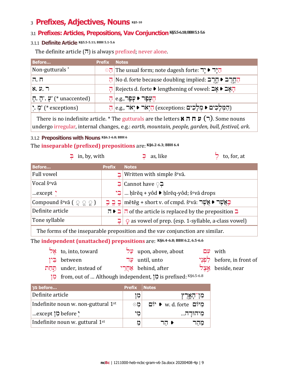# <span id="page-8-0"></span><sup>3</sup> **Prefixes, Adjectives, Nouns K§5-10**

# <span id="page-8-1"></span>3.1 **Prefixes:Articles, Prepositions, Vav ConjunctionK§5.5-6.18; BBH 5.1-5.6**

#### <span id="page-8-2"></span>3.1.1 **Definite Article K§5.5-5.11; BBH 5.1-5.6**

The definite article  $(\Box)$  is always prefixed; never alone.

| Before                      | <b>Prefix</b> | <b>Notes</b>                                                                            |
|-----------------------------|---------------|-----------------------------------------------------------------------------------------|
| Non-gutturals*              |               | הַיָּר ♦ יָר The usual form; note dagesh forte: הַיָּר ♦ יָר                            |
| п, п                        |               | $\frac{1}{\sqrt{2}}$ No d. forte because doubling implied: תֵרֶב • $\frac{1}{\sqrt{2}}$ |
| ר, ע, ד                     |               | 고   Rejects d. forte ▶ lengthening of vowel: 그렇 ▶ 그렇고                                   |
| תָ, חֻ, "עָ, "הָ, "עָ       |               | הֵעֲפָר • עָפָר,e.g.                                                                    |
| " $\ddot{P}$ (* exceptions) |               | ַהַיְאֹר א יְאֹר (exceptions: הַיְאֹר (E.g., הַמְּלָכִים)                               |
|                             |               |                                                                                         |

There is no indefinite article. \* The gutturals are the letters  $\mathbf{\hat{x}} \pi \pi$   $\pi$   $(\neg)$ . Some nouns undergo irregular, internal changes, e.g.: *earth, mountain, people, garden, bull, festival, ark*.

#### <span id="page-8-3"></span>3.1.2 **Prepositions with Nouns K§6.1-6.8; BBH 6**

# The **inseparable (prefixed) prepositions** are: **K§6.2-6.3; BBH 6.4**

| in, by, with<br>E                                                                 |               | as, like                                                                                                        | to, for, at |
|-----------------------------------------------------------------------------------|---------------|-----------------------------------------------------------------------------------------------------------------|-------------|
| Before                                                                            | <b>Prefix</b> | <b>Notes</b>                                                                                                    |             |
| Full vowel                                                                        |               | Written with simple ševā.                                                                                       |             |
| Vocal ševā                                                                        |               | Cannot have $\bigcirc$ $\Box$                                                                                   |             |
| $$ except $\cdot$                                                                 | ובי           | hîrĕq + yôd ▶ hîrĕq-yôd; ševā drops                                                                             |             |
| Compound $\check{\mathsf{s}}$ <sup>e</sup> vā ( $\subseteq \subseteq \subseteq$ ) | 그 그 그네        | mĕtĕg + short v. of cmpd. š°vā: אֱשֶׁר ♦ אֲשֱר ≩                                                                |             |
| Definite article                                                                  |               | $\pi \triangleright \square \triangleright \square$ of the article is replaced by the preposition $\square$     |             |
| Tone syllable                                                                     |               | o as vowel of prep. (esp. 1-syllable, a-class vowel)                                                            |             |
| $\mathbf{m}$ $\mathbf{r}$<br>$\sim$ $\sim$                                        | $\mathbf{1}$  | the contract of the contract of the contract of the contract of the contract of the contract of the contract of |             |

The forms of the inseparable preposition and the vav conjunction are similar.

The **independent (unattached) prepositions** are: **K§6.4-6.8; BBH 6.2, 6.5-6.6**

 $\Pi$ הַחַת under, instead of אַחֲרֵי behind, after

- $\overleftrightarrow{\mathbf{S}}$  to, into, toward  $\overleftrightarrow{\mathbf{S}}$  upon, above, about  $\overleftrightarrow{\mathbf{S}}$  with
	-
- 

<u>ּכְּיִ</u>ן between לִפְנֵי until, unto לִפְנֵי before, in front of<br>מַחֲרֵי behind, after מֵאֲצָל beside, near מֵחֲרֵי

ן ִמ from, out of … Although independent, ן ִמ is prefixed: K§6.5-6.8

| מן before                           | <b>Prefix</b> | <b>Notes</b>         |
|-------------------------------------|---------------|----------------------|
| Definite article                    | מן            | <b>ַּהְרַאֲרֶ</b>    |
| Indefinite noun w. non-guttural 1st | <u>ා ප</u>    | מיום w.d. forte מיום |
| except <b>(1)</b> before            | מי            | מִיהוּדַה            |
| Indefinite noun w. guttural 1st     |               | א הר                 |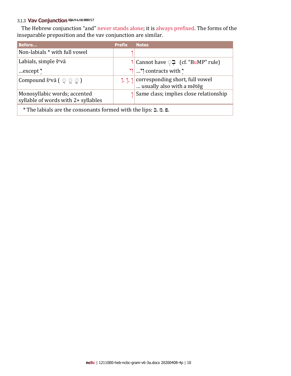# <span id="page-9-0"></span>3.1.3 **Vav Conjunction K§6.9-6.18; BBH 5.7**

The Hebrew conjunction "and" never stands alone; it is always prefixed. The forms of the inseparable preposition and the vav conjunction are similar.

| <b>Before</b>                                                                     | <b>Prefix</b> | <b>Notes</b>                                                             |  |  |  |  |  |
|-----------------------------------------------------------------------------------|---------------|--------------------------------------------------------------------------|--|--|--|--|--|
| Non-labials * with full vowel                                                     |               |                                                                          |  |  |  |  |  |
| Labials, simple ševā                                                              |               | <b>T</b> Cannot have $\supset \Box$ (cf. "BuMP" rule)                    |  |  |  |  |  |
| $$ except                                                                         |               | $\left \cdot\right $ " contracts with ?                                  |  |  |  |  |  |
| Compound $\check{\mathsf{s}}$ <sup>e</sup> vā ( $\subseteq \subseteq \subseteq$ ) |               | ן , יָךָ, p corresponding short, full vowel<br>usually also with a mětěg |  |  |  |  |  |
| Monosyllabic words; accented<br>syllable of words with 2+ syllables               |               | $\vert$ Same class; implies close relationship                           |  |  |  |  |  |
| * The labials are the consonants formed with the lips: ב, מ                       |               |                                                                          |  |  |  |  |  |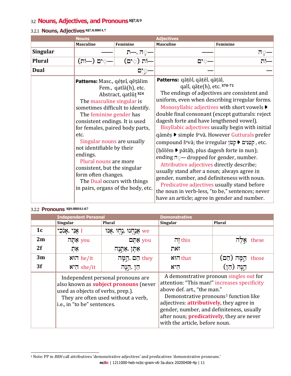# <span id="page-10-0"></span>3.2 **Nouns, Adjectives, and Pronouns** K§7,8,9

# <span id="page-10-1"></span>3.2.1 **Nouns, Adjectives K§7, 8; BBH 4, 7**

|                 | <b>Nouns</b>                                                                                                                                                                                                                                                                                                                                                    |                                                                                                                   | <b>Adjectives</b>                                                                                                                                                                                                                                                                                                                                                                                                                                                                                                                                                                                                                                                                                                                                                                 |                                                                                                                                                                     |
|-----------------|-----------------------------------------------------------------------------------------------------------------------------------------------------------------------------------------------------------------------------------------------------------------------------------------------------------------------------------------------------------------|-------------------------------------------------------------------------------------------------------------------|-----------------------------------------------------------------------------------------------------------------------------------------------------------------------------------------------------------------------------------------------------------------------------------------------------------------------------------------------------------------------------------------------------------------------------------------------------------------------------------------------------------------------------------------------------------------------------------------------------------------------------------------------------------------------------------------------------------------------------------------------------------------------------------|---------------------------------------------------------------------------------------------------------------------------------------------------------------------|
|                 | <b>Masculine</b>                                                                                                                                                                                                                                                                                                                                                | Feminine                                                                                                          | <b>Masculine</b>                                                                                                                                                                                                                                                                                                                                                                                                                                                                                                                                                                                                                                                                                                                                                                  | Feminine                                                                                                                                                            |
| <b>Singular</b> |                                                                                                                                                                                                                                                                                                                                                                 | ת, הת, הת                                                                                                         |                                                                                                                                                                                                                                                                                                                                                                                                                                                                                                                                                                                                                                                                                                                                                                                   | ਸ਼੦                                                                                                                                                                 |
| <b>Plural</b>   | ⊙ים (—ׂות)                                                                                                                                                                                                                                                                                                                                                      | -וֹת (○ים)                                                                                                        | ் ם                                                                                                                                                                                                                                                                                                                                                                                                                                                                                                                                                                                                                                                                                                                                                                               | ות                                                                                                                                                                  |
| <b>Dual</b>     |                                                                                                                                                                                                                                                                                                                                                                 | ּיִם                                                                                                              |                                                                                                                                                                                                                                                                                                                                                                                                                                                                                                                                                                                                                                                                                                                                                                                   |                                                                                                                                                                     |
|                 | Patterns: Masc., qétel, qĕțālim<br>The masculine singular is<br>sometimes difficult to identify.<br>The feminine gender has<br>consistent endings. It is used<br>for females, paired body parts,<br>etc.<br>Singular nouns are usually<br>not identifiable by their<br>endings.<br>Plural nouns are more<br>consistent, but the singular<br>form often changes. | Fem., qatlā(h), etc.<br>Abstract, gatlût S24<br>The Dual occurs with things<br>in pairs, organs of the body, etc. | Patterns: qāṭōl, qāṭēl, qāṭāl,<br>qall, qāte(h), etc. S70-71<br>uniform, even when describing irregular forms.<br>double final consonant (except gutturals: reject<br>dagesh forte and have lengthened vowel).<br>$q\bar{a}$ měs $\blacktriangleright$ simple š <sup>e</sup> vā. However Gutturals prefer<br>compound ševā; the irregular קִטַּנִּים ♦ קָטּוֹ<br>(hôlĕm ▶ pătăḥ, plus dagesh forte in nun);<br>ending $\overline{\mathfrak{n}}$ $\cong$ dropped for gender, number.<br>Attributive adjectives directly describe;<br>usually stand after a noun; always agree in<br>gender, number, and definiteness with noun.<br>Predicative adjectives usually stand before<br>the noun in verb-less, "to be," sentences; never<br>have an article; agree in gender and number. | The endings of adjectives are consistent and<br>Monosyllabic adjectives with short vowels $\blacktriangleright$<br>Bisyllabic adjectives usually begin with initial |

#### <span id="page-10-2"></span>3.2.2 **Pronouns K§9; BBH 8.1-8.7**

|    | <b>Independent Personal</b>                                      |                                                                                                                          | <b>Demonstrative</b>                                                                                                                                                                                        |                                                                                                                                              |
|----|------------------------------------------------------------------|--------------------------------------------------------------------------------------------------------------------------|-------------------------------------------------------------------------------------------------------------------------------------------------------------------------------------------------------------|----------------------------------------------------------------------------------------------------------------------------------------------|
|    | Singular                                                         | <b>Plural</b>                                                                                                            | <b>Singular</b>                                                                                                                                                                                             | <b>Plural</b>                                                                                                                                |
| 1c | <u>ז אֱנְי אֲנֹכִי</u>                                           | <u>אַנְחָנוּ ,נֵחְוּ א</u> ָנוּ we                                                                                       |                                                                                                                                                                                                             |                                                                                                                                              |
| 2m | you אַהַה                                                        | <u>אָחֱם</u> you                                                                                                         | $\pi$ this                                                                                                                                                                                                  | these                                                                                                                                        |
| 2f | אַת                                                              | אַחֵן ,אַחֱנָה                                                                                                           | זאת                                                                                                                                                                                                         |                                                                                                                                              |
| 3m | $8\pi$ he/it                                                     | הַמָּה, הֵפָּה                                                                                                           | <b>Sill that</b>                                                                                                                                                                                            | ּהֱמֶּה (הֵם)<br>those                                                                                                                       |
| 3f | $\aleph \mathbb{Z}$ she/it                                       | הֵן ,הֱנָה                                                                                                               | $X^*$ רא                                                                                                                                                                                                    | הנה (הן)                                                                                                                                     |
|    | used as objects of verbs, prep.).<br>i.e., in "to be" sentences. | Independent personal pronouns are<br>also known as <b>subject pronouns</b> (never<br>They are often used without a verb, | above def. art., "the man."<br>adjectives: attributively, they agree in<br>gender, number, and definiteness, usually<br>after noun; <b>predicatively</b> , they are never<br>with the article, before noun. | A demonstrative pronoun singles out for<br>attention: "This man!" increases specificity<br>Demonstrative pronouns <sup>1</sup> function like |

**ncBc** | 1211000-heb-ncbc-gram-v6-3a.docx 20200408-4p | 11

<span id="page-10-3"></span><sup>1</sup> Note: PP in *BBH* call attributives 'demonstrative adjectives' and predicatives 'demonstrative pronouns.'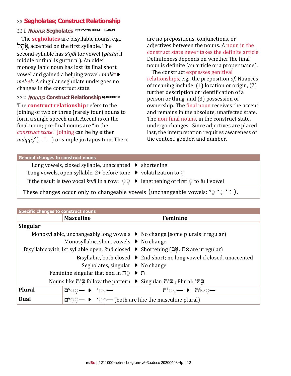# <span id="page-11-0"></span>3.3 **Segholates; Construct Relationship**

#### <span id="page-11-1"></span>3.3.1 Nouns**: Segholates K§7.22-7.30; BBH 4.8.3;S40-43**

The **segholates** are bisyllabic nouns, e.g., ל ֶה ֹ֣א, accented on the first syllable. The second syllable has *segôl* for vowel (*pătăḥ* if middle or final is guttural). An older monosyllabic noun has lost its final short vowel and gained a helping vowel: *malku* ➧ *mel-ek.* A singular segholate undergoes no changes in the construct state.

<span id="page-11-2"></span>3.3.2 Nouns**: Construct Relationship K§10; BBH10** The **construct relationship** refers to the joining of two or three (rarely four) nouns to form a single speech unit. Accent is on the final noun; pre-final nouns are "in the *construct state*." Joining can be by either *măqqēf* (\_<sup>-</sup>\_) or simple juxtaposition. There are no prepositions, conjunctions, or adjectives between the nouns. A noun in the construct state never takes the definite article. Definiteness depends on whether the final noun is definite (an article or a proper name).

The construct expresses genitival relationships, e.g., the preposition *of*. Nuances of meaning include: (1) location or origin, (2) further description or identification of a person or thing, and (3) possession or ownership. The final noun receives the accent and remains in the absolute, unaffected state. The non-final nouns, in the construct state, undergo changes. Since adjectives are placed last, the interpretation requires awareness of the context, gender, and number.

| General changes to construct nouns                                                                                  |  |
|---------------------------------------------------------------------------------------------------------------------|--|
| Long vowels, closed syllable, unaccented $\bullet$ shortening                                                       |  |
| Long vowels, open syllable, 2+ before tone $\bullet$ volatilization to $\circ$                                      |  |
| If the result is two vocal s <sup>e</sup> va in a row: $\therefore$ ▶ lengthening of first $\Diamond$ to full vowel |  |

These changes occur only to changeable vowels (unchangeable vowels: ` $\circ$  `  $\circ$  `  $\circ$  ).

| Specific changes to construct nouns                                                       |                                                                          |  |
|-------------------------------------------------------------------------------------------|--------------------------------------------------------------------------|--|
| <b>Masculine</b>                                                                          | <b>Feminine</b>                                                          |  |
| <b>Singular</b>                                                                           |                                                                          |  |
| Monosyllabic, unchangeably long vowels $\rightarrow$ No change (some plurals irregular)   |                                                                          |  |
| Monosyllabic, short vowels ♦ No change                                                    |                                                                          |  |
| Bisyllabic with 1st syllable open, 2nd closed ♦ Shortening (אֲבַ A', אוֹם, are irregular) |                                                                          |  |
|                                                                                           | Bisyllabic, both closed ♦ 2nd short; no long vowel if closed, unaccented |  |
| Segholates, singular $\rightarrow$ No change                                              |                                                                          |  |
| Feminine singular that end in $\Box$ $\rightarrow$ $\Box$ —                               |                                                                          |  |
| בֶּהֵי :Plural ; בֵּית follow the pattern ♦ Singular: בֵּית Flural (                      |                                                                          |  |
| <b>Plural</b><br>—ٻαֵי ♦ —وִמִ <b>ים</b>                                                  | ר⊘יה ∙ — $\circ$ יה $\sim$                                               |  |
| <b>Dual</b><br>יִם (both are like the masculine plural) — יִם → ا                         |                                                                          |  |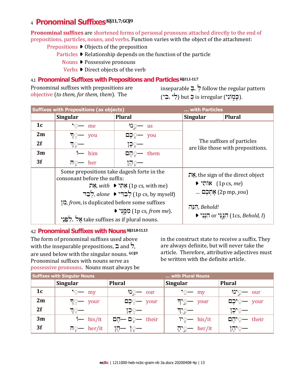# <span id="page-12-0"></span><sup>4</sup> **Pronominal SuffixesK§11, 7; GC§9**

**Pronominal suffixes** are shortened forms of personal pronouns attached directly to the end of prepositions, particles, nouns, and verbs. Function varies with the object of the attachment:

Prepositions ➧ Objects of the preposition

Particles ♦ Relationship depends on the function of the particle

- Nouns ➧ Possessive pronouns
- Verbs ♦ Direct objects of the verb

# <span id="page-12-1"></span>4.1 **Pronominal Suffixes with Prepositions and Particles K§11.1-11.7**

Pronominal suffixes with prepositions are objective (*to them, for them, them*). The

inseparable  $\frac{1}{r}$ ,  $\frac{1}{r}$  follow the regular pattern (כָּמְוֹנִי) but פְנִאוֹנִי is irregular (כְ

|    | <b>Suffixes with Prepositions (as objects)</b>                                                                                                                         |                             | with Particles                                                      |                                                   |
|----|------------------------------------------------------------------------------------------------------------------------------------------------------------------------|-----------------------------|---------------------------------------------------------------------|---------------------------------------------------|
|    | <b>Singular</b>                                                                                                                                                        | <b>Plural</b>               | <b>Singular</b>                                                     | <b>Plural</b>                                     |
| 1c | $\sim$ me                                                                                                                                                              | $10^\circ - 10^\circ$       |                                                                     |                                                   |
| 2m | न $\circ$ — you                                                                                                                                                        | you —੍ֶ⊂ם                   |                                                                     |                                                   |
| 2f | प⊙—                                                                                                                                                                    | י⊊ן—                        |                                                                     | The suffixes of particles                         |
| 3m | $i$ him                                                                                                                                                                | הם — יֶהֶם —                | are like those with prepositions.                                   |                                                   |
| 3f | $\overline{\pi}$ der                                                                                                                                                   | —़ा्त़ा                     |                                                                     |                                                   |
|    | Some prepositions take dagesh forte in the<br>consonant before the suffix:<br>אָת (1p cs, with me) אֶתְי (1p cs, with me<br>(1p cs, by myself) לְבַדִּי ♦ alone, לְבֵד |                             | $\triangleright$ 'הְרָי (1p cs, me)<br>(2p mp, <i>you</i> ) אֱתְכֵם | אֶת, the sign of the direct object                |
|    | הָן, from, is duplicated before some suffixes<br>לִפְנֵי, לְפְנֵי take suffixes as if plural nouns.                                                                    | • (1p cs, from me). מְמֱנִי | הנה, Behold!                                                        | $\blacktriangleright$ דְרֱבְּנִי (1cs, Behold, I) |

## <span id="page-12-2"></span>4.2 **Pronominal Suffixes with Nouns K§11.8-11.13**

The form of pronominal suffixes used above with the inseparable prepositions,  $\exists$  and  $\forall$ , are used below with the singular nouns. **GC§9** Pronominal suffixes with nouns serve as possessive pronouns. Nouns must always be

in the construct state to receive a suffix. They are always definite, but will never take the article. Therefore, attributive adjectives must be written with the definite article.

| <b>Suffixes with Singular Nouns</b> |                                      | with Plural Nouns    |                                               |                          |
|-------------------------------------|--------------------------------------|----------------------|-----------------------------------------------|--------------------------|
|                                     | <b>Singular</b>                      | <b>Plural</b>        | Singular                                      | <b>Plural</b>            |
| 1c                                  | $\sim - \frac{m y}{2}$               | $\frac{10}{2}$ our   | $\sim - \frac{m y}{2}$                        | וו — $\circ$ ינו $\circ$ |
| 2m                                  | $\overline{\mathbb{F}}$ $\cong$ your | $\Box \odot$ — your  | $\overline{\mathbf{I}}$ our                   | your —੍ਹ <b>יכֶ</b> ם    |
| 2f                                  | प⊙—                                  | יי⊊ן —               | न:़—                                          | —ֵּייַבֵן                |
| 3m                                  | $i$ — his/it                         | ום — חֲם — הֵם — הֵם | $\mathbf{r} \circ - \mathbf{his}/\mathbf{it}$ | their —੍ਹਾਜ਼ਿ            |
| 3f                                  | $\overline{\Box}$ her/it             | —ְּיָךְ —ְהֶן        | ़— her/it                                     | ייִהֵן                   |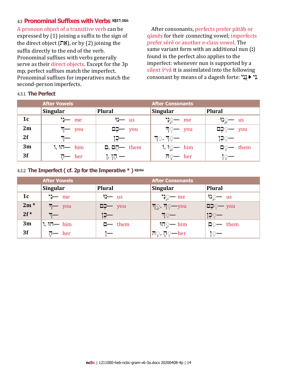## <span id="page-13-0"></span>4.3 **Pronominal Suffixes with Verbs K§17; 18.6**

A pronoun object of a transitive verb can be expressed by (1) joining a suffix to the sign of the direct object (אָה), or by (2) joining the suffix directly to the end of the verb. Pronominal suffixes with verbs generally serve as their direct objects. Except for the 3p mp, perfect suffixes match the imperfect. Pronominal suffixes for imperatives match the second-person imperfects.

After consonants, perfects prefer pătăḥ or qāmĕṣ for their connecting vowel; imperfects prefer sērê or another e-class vowel. The same variant form with an additional nun (נ ( found in the perfect also applies to the imperfect: whenever nun is supported by a silent š<sup>e</sup>vā it is assimilated into the following consonant by means of a dagesh forte: "יָ ♦ נֵנָי

#### <span id="page-13-1"></span>4.3.1 **The Perfect**

|                | <b>After Vowels</b>           |               | <b>After Consonants</b>         |                   |
|----------------|-------------------------------|---------------|---------------------------------|-------------------|
|                | Singular                      | <b>Plural</b> | Singular                        | <b>Plural</b>     |
| 1 <sub>c</sub> | $\frac{m}{2}$ me              | $1 - us$      | $\gamma$ = $\gamma$             | <u>าวดู— us</u>   |
| 2m             | $\overline{\mathbf{v}}$ you   | $you$ —       | न $\sim$ you                    | א —ְהֶם —         |
| 2f             |                               | —⊊ן           | गु⊙, ग $\circ$ —                | י⊊ן               |
| 3m             | $\sqrt{1}$ , $\sqrt{1}$ – him | ם, ם, them    | $\frac{1}{2}$ $\frac{1}{2}$ him | $\Box \circ$ them |
| 3f             | $\overline{p}$ her            | הן ה $-$      | $\overline{\Box}$ her           | '়—               |

## <span id="page-13-2"></span>4.3.2 **The Imperfect ( cf. 2p for the Imperative \* ) K§18.6**

|                | <b>After Vowels</b>                   |               | <b>After Consonants</b>                              |                                  |
|----------------|---------------------------------------|---------------|------------------------------------------------------|----------------------------------|
|                | <b>Singular</b>                       | <b>Plural</b> | Singular                                             | <b>Plural</b>                    |
| 1 <sub>c</sub> | $"$ – me                              | $1 - u$ s     | $\degree$ : $\degree$ me                             | $\mathbb{R}$ $\sim$ $\mathbb{R}$ |
| $2m *$         | $\overline{r}$ you                    | $you$ —       | न]़, ऩ्—you                                          | ספָר — you                       |
| $2f^*$         |                                       |               | ा⊙—                                                  | ⊸ִכְן                            |
| 3m             | $\overline{1}$ , $\overline{1}$ – him | $\Box$ them   | $\overline{\mathsf{h}^{\mathsf{m}}}\mathbb{C}$ — him | $\Box \odot$ them                |
| 3f             | $\overline{J}$ her                    |               | $ \bar{\pi}$ ੍ਰ, ਸ਼੍ਰਾ੍—her                          | াু—                              |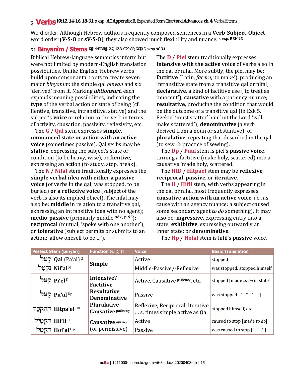#### <span id="page-14-0"></span><sup>5</sup> **VerbsK§12, 14-16, 18-31**; s. esp. **AC Appendix B**, Expanded Stem Chartand **Advances, ch. 4**, Verbal Stems

Word order: Although Hebrew authors frequently composed sentences in a **Verb-Subject-Object** word order (**V-S-O** or **sV-S-O**), they also showed much flexibility and nuance. **s. esp. BBH 23**

# <span id="page-14-1"></span>5.1 **Binyānîm / Stems K§14; BBH§12.7,-12.8; C79-85; GC§15; s. esp. AC 3.1**

Biblical Hebrew-language semantics inform but were not limited by modern-English translation possibilities. Unlike English, Hebrew verbs build upon consonantal roots to create seven major *binyanim*: the simple qal *binyan* and six 'derived' from it. Marking *aktionsart*, each expands meaning possibilities, indicating the **type** of the verbal action or state of being (cf. fientive, transitive, intransitive, stative) and the subject's **voice** or relation to the verb in terms of activity, causation, passivity, reflexivity, etc.

The **G** / **Qal** stem expresses **simple, unnuanced state or action with an active voice** (sometimes passive). Qal verbs may be **stative**, expressing the subject's state or condition (to be heavy, wise), or **fientive**, expressing an action (to study, stop, break).

The **N** / **Nifal** stem traditionally expresses the **simple verbal idea with either a passive voice** (of verbs in the qal; was stopped, to be buried) **or a reflexive voice** (subject of the verb is also its implied object). The nifal may also be: **middle** in relation to a transitive qal, expressing an intransitive idea with no agent); **medio-passive** (primarily middle **Adv., p. <sup>95</sup>**); **reciprocal** (mutual; 'spoke with one another'); or **tolerative** (subject permits or submits to an action; 'allow oneself to be …').

The **D** / **Piel** stem traditionally expresses **intensive with the active voice** of verbs also in the qal or nifal. More subtly, the piel may be: **factitive** (Latin, *facere*, 'to make'), producing an intransitive state from a transitive qal or nifal; **declarative**, a kind of factitive use ('to treat as innocent'); **causative** with a patiency nuance; **resultative**, producing the condition that would be the outcome of a transitive qal (in Ezk 5, Ezekiel 'must scatter' hair but the Lord 'will make scattered'); **denominative** (a verb derived from a noun or substantive); or **pluralative**, repeating that described in the qal (to sew  $\rightarrow$  practice of sewing).

The **Dp** / **Pual** stem is piel's **passive voice**, turning a factitive (make holy, scattered) into a causative 'made holy, scattered.'

The **HtD** / **Hitpael** stem may be **reflexive**, **reciprocal**, **passive**, or **iterative**.

The **H** / **Hifil** stem, with verbs appearing in the qal or nifal, most frequently expresses **causative action with an active voice**, i.e., as cause with an agency nuance: a subject caused some secondary agent *to do* something). It may also be: **ingressive**, expressing entry into a state; **exhibitive**, expressing outwardly an inner state; or **denominative**.

The **Hp** / **Hofal** stem is hifil's **passive** voice.

| <b>Perfect Stem (binyan)</b>             | Function G, D, H                                | <b>Voice</b>                                                      | <b>Basic Translation</b>              |
|------------------------------------------|-------------------------------------------------|-------------------------------------------------------------------|---------------------------------------|
| <b>ָם Qal</b> (Paʻal) קָטַּל Q <b>al</b> |                                                 | Active                                                            | stopped                               |
| א Nifal גִקְטַּל                         | <b>Simple</b>                                   | Middle-Passive/-Reflexive                                         | was stopped, stopped himself          |
| Pi'el יַמֱל                              | Intensive?<br><b>Factitive</b>                  | Active, Causative patiency, etc.                                  | stopped [made to be in state]         |
| Puʻal <sup>Dp</sup> קײַל                 | <b>Resultative</b><br><b>Denominative</b>       | Passive                                                           | was stopped $\lceil$ " " " " $\rceil$ |
| הַתְקַטֵּל Hitpa'el HtD                  | <b>Pluralative</b><br><b>Causative patiency</b> | Reflexive, Reciprocal, Iterative<br>s. times simple active as Qal | stopped himself, etc.                 |
| Hifil H הִקְטִיל                         | <b>Causative</b> agency                         | Active                                                            | caused to stop [made to do]           |
| Hof'al ⊞ֲקִטֲּל Hof'al                   | (or permissive)                                 | Passive                                                           | was caused to stop $[$ " " " $]$      |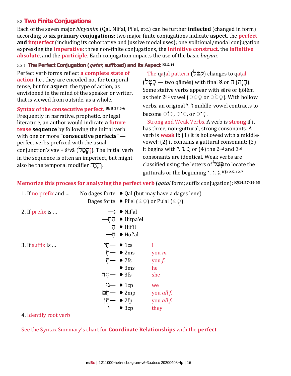# <span id="page-15-0"></span>5.2 **Two Finite Conjugations**

Each of the seven major *binyanim* (Qal, Nif'al, Pi'el, etc.) can be further **inflected** (changed in form) according to **six primary conjugations**: two major finite conjugations indicate **aspect**, the **perfect and imperfect** (including its cohortative and jussive modal uses); one volitional/modal conjugation expressing the **imperative**; three non-finite conjugations, the **infinitive construct**, the **infinitive absolute**, and the **participle**. Each conjugation impacts the use of the basic *binyan*.

## <span id="page-15-1"></span>5.2.1 **The Perfect Conjugation (**qatal**; suffixed) and its Aspect K§12, 14**

Perfect verb forms reflect **a complete state of action**. I.e., they are encoded not for temporal tense, but for **aspect**: the type of action, as envisioned in the mind of the speaker or writer, that is viewed from outside, as a whole.

**Syntax of the consecutive perfect. BBH 17.5-6** Frequently in narrative, prophetic, or legal literature, an author would indicate **a future tense sequence** by following the initial verb with one or more **"consecutive perfects"** perfect verbs prefixed with the usual conjunction's vav + ševā (יְקָטַּל). The initial verb in the sequence is often an imperfect, but might also be the temporal modifier ההיה.

The qāṭal pattern (קָטֵל) changes to qāṭāl (הָיָה) ה two qāmĕṣ) with final **x** or הִקְטָל). Some stative verbs appear with sērê or hôlĕm as their 2<sup>nd</sup> vowel ( $\circ \circ \circ$  or  $\circ \circ \circ$ ). With hollow verbs, an original ', I middle-vowel contracts to become  $\circ$  i $\circ$ ,  $\circ$  or  $\circ$   $\circ$ .

Strong and Weak Verbs. A verb is **strong** if it has three, non-guttural, strong consonants. A verb is **weak** if: (1) it is hollowed with a middlevowel; (2) it contains a guttural consonant; (3) it begins with ', ',  $\lambda$ ; or (4) the 2<sup>nd</sup> and 3<sup>rd</sup> consonants are identical. Weak verbs are classified using the letters of ל ַע ָפּ to locate the gutturals or the beginning י, ו, נ. **K§12.5-12.7**

**Memorize this process for analyzing the perfect verb** (*qatal* form; suffix conjugation): **K§14.57-14.65**

| 1. If no prefix and  No dages forte $\rightarrow$ Qal (but may have a dages lene) |                                                                                                                                                                  | Dages forte $\blacktriangleright$ Pi'el ( $\odot$ ) or Pu'al ( $\odot$ ) |
|-----------------------------------------------------------------------------------|------------------------------------------------------------------------------------------------------------------------------------------------------------------|--------------------------------------------------------------------------|
| 2. If prefix is                                                                   | $\rightarrow$ Nif'al<br>—הָחָ → Hitpa'el<br>$\neg$ $\overline{1}$ $\rightarrow$ Hif'il<br>$\neg$ $\Box$ $\blacktriangleright$ Hof'al                             |                                                                          |
| 3. If suffix is $\ldots$                                                          | $\overline{C}$ $\rightarrow$ 1cs<br>$\Box \rightarrow 2ms$ you m.<br>$\overline{S}$ $\rightarrow$ 2fs<br>$\blacktriangleright$ 3ms<br>$\overline{\Box}$ ਼— ▶ 3fs | you $f$ .<br>he<br>she                                                   |
|                                                                                   | $\rightarrow$ 1cp<br>מי — יְהֵם — $\geq$<br>ן — ⊅ 2fp<br>$\rightarrow$ 3cp                                                                                       | we<br>you all f.<br>you all f.<br>they                                   |

## 4. Identify root verb

See the Syntax Summary's chart for **Coordinate Relationships** with the **perfect**.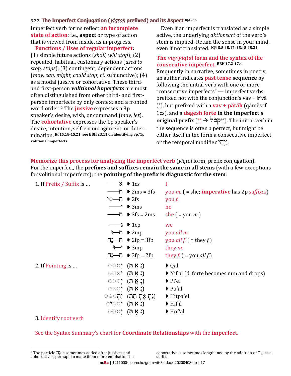#### <span id="page-16-0"></span>5.2.2 **The Imperfect Conjugation (**yiqtol**; prefixed) and its Aspect K§15-16**

Imperfect verb forms reflect **an incomplete state of action**; i.e., **aspect** or type of action that is viewed from inside, as in progress.

**Functions / Uses of regular imperfect:** (1) simple future actions (*shall, will stop*); (2) repeated, habitual, customary actions (*used to stop, stops*); (3) contingent, dependent actions (*may, can, might, could stop*; cf. subjunctive); (4) as a modal jussive or cohortative. These thirdand first-person *volitional imperfects* are most often distinguished from other third- and firstperson imperfects by only context and a fronted word order. [2](#page-16-1) The **jussive** expresses a 3p speaker's desire, wish, or command (*may, let*). The **cohortative** expresses the 1p speaker's desire, intention, self-encouragement, or determination. **K§15.18-15.21; see BBH 23.11 on identifying 3p/1p volitional imperfects**

Even if an imperfect is translated as a simple active, the underlying *aktionsart* of the verb's stem is implied. Retain the sense in your mind, even if not translated. **K§15.8-15.17; 15.18-15.21**

**The** *vay-yiqtol* **form and the syntax of the consecutive imperfect. BBH 17.2-17.4** Frequently in narrative, sometimes in poetry, an author indicates **past tense sequence** by following the initial verb with one or more "consecutive imperfects" — imperfect verbs prefixed not with the conjunction's vav +  $\check{\mathbf{s}}$ <sup>e</sup>va ( ְו(, but prefixed with a **vav + pătăḥ** (qāmĕṣ if 1cs), and a **dagesh forte in the imperfect's**  in verb initial The .)וַיִּ קְ טֹ ל וַיּ) **prefix original** the sequence is often a perfect, but might be either itself in the form a consecutive imperfect or the temporal modifier יהי.

# **Memorize this process for analyzing the imperfect verb** (*yiqtol* form; prefix conjugation).

For the imperfect, the **prefixes and suffixes remain the same in all stems** (with a few exceptions for volitional imperfects); the **pointing of the prefix is diagnostic for the stem**:

| 1. If Prefix / Suffix is | $\rightarrow$ $\rightarrow$ 1cs |                                                      |                                                                       |
|--------------------------|---------------------------------|------------------------------------------------------|-----------------------------------------------------------------------|
|                          |                                 | $\longrightarrow \mathbb{R}$ $\rightarrow$ 2ms = 3fs | you $m$ . ( = she; <b>imperative</b> has $2p$ <i>suffixes</i> )       |
|                          | $\sqrt{2} - 7$ > 2fs            |                                                      | you $f$ .                                                             |
|                          |                                 | $\rightarrow$ 3ms                                    | he                                                                    |
|                          |                                 | $\longrightarrow \mathbb{R}$ $\rightarrow$ 3fs = 2ms | she $( =$ you <i>m</i> .)                                             |
|                          |                                 | $\longrightarrow$ 1cp                                | we                                                                    |
|                          |                                 | $\Box \Box \bullet 2mp$                              | you all m.                                                            |
|                          |                                 |                                                      | $\Box \rightarrow \Box \rightarrow 2$ ( = 3fp you all f. ( = they f.) |
|                          |                                 | $\rightarrow$ 3mp                                    | they <i>m</i> .                                                       |
|                          |                                 |                                                      | ת—נָה → 3fp = 2fp they $f$ . ( = you all $f$ .)                       |
| 2. If Pointing is        |                                 | $\circ \circ \circ$ : (ភ្នារ)                        | $\triangleright$ Qal                                                  |
|                          |                                 | $\circ$ ៈ (ពុន្នៈ)                                   | lacktriangleright Niffal (d. forte becomes nun and drops)             |
|                          |                                 | $\circ \circ \circ$ ( $($ $\circ$ $\circ$ $)$ )      | $\blacktriangleright$ Pi'el                                           |
|                          |                                 | $\circ \circ$ ़ (ज़़ ४़ ))                           | $\blacktriangleright$ Pu'al                                           |
|                          |                                 | (נִתְ אֶתְ תִּתְֻ) יִתְ⊃⊙                            | $\blacktriangleright$ Hitpa'el                                        |
|                          |                                 | া $\circ$ ় (নু ४ )                                  | $\blacktriangleright$ Hif'il                                          |
|                          |                                 | $\circ \circ$ ្ $\cdot$ (ក្ x ))                     | $\blacktriangleright$ Hof'al                                          |
|                          |                                 |                                                      |                                                                       |

#### 3. Identify root verb

## See the Syntax Summary's chart for **Coordinate Relationships** with the **imperfect**.

<sup>2</sup> The particle הָבָה is sometimes added after jussives and cohortative is sometimes lengthened by the addition of  $\overline{D}$  as a cohortatives, perhaps to make them more emphatic. The suffix.

<span id="page-16-1"></span>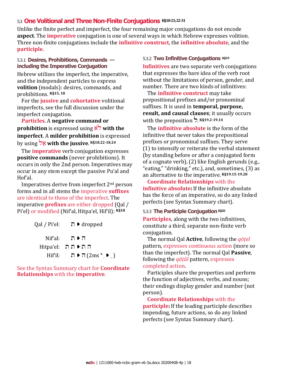## <span id="page-17-0"></span>5.3 **One Volitional and Three Non-Finite Conjugations K§18-21; 22-31**

Unlike the finite perfect and imperfect, the four remaining major conjugations do not encode **aspect**. The **imperative** conjugation is one of several ways in which Hebrew expresses volition. Three non-finite conjugations include the **infinitive construct**, the **infinitive absolute**, and the **participle**.

#### <span id="page-17-1"></span>5.3.1 **Desires, Prohibitions, Commands including the Imperative Conjugation**

Hebrew utilizes the imperfect, the imperative, and the independent particles to express **volition** (modals): desires, commands, and prohibitions. **K§15, 18**

For the **jussive** and **cohortative** volitional imperfects, see the full discussion under the imperfect conjugation.

**Particles**. A **negative command or prohibition** is expressed using אֹ ל **with the imperfect**. A **milder prohibition** is expressed by using ל ַא **with the jussive**. **K§18.22-18.24**

The **imperative** verb conjugation expresses **positive commands** (never prohibitions). It occurs in only the 2nd person. Imperatives may occur in any stem except the passive Pu'al and Hof'al.

Imperatives derive from imperfect 2nd person forms and in all stems the imperative **suffixes** are identical to those of the imperfect. The imperative **prefixes** are either dropped (Qal / Pi'el) or modified (Nif'al, Hitpa'el, Hif'il): **K§18**

| Qal / Pi'el: | $\Box$ • dropped                                                                                      |
|--------------|-------------------------------------------------------------------------------------------------------|
|              | $Nifal: \qquad \Box \blacktriangleright \Box$                                                         |
|              | הת♦ תת Hitpa'el: הת                                                                                   |
| Hif'il:      | $\overline{\Pi}$ $\blacktriangleright$ $\overline{\Pi}$ (2ms $\lnot$ $\blacktriangleright$ $\ldots$ ) |

See the Syntax Summary chart for **Coordinate Relationships** with the **imperative**.

#### <span id="page-17-2"></span>5.3.2 **Two Infinitive Conjugations K§19**

**Infinitives** are two separate verb conjugations that expresses the bare idea of the verb root without the limitations of person, gender, and number. There are two kinds of infinitives:

The **infinitive construct** may take prepositional prefixes and/or pronominal suffixes. It is used in **temporal, purpose, result, and causal clauses**; it usually occurs with the preposition ל. **K§19.2-19.14**

The **infinitive absolute** is the form of the infinitive that never takes the prepositional prefixes or pronominal suffixes. They serve (1) to intensify or reiterate the verbal statement (by standing before or after a conjugated form of a cognate verb), (2) like English gerunds (e.g., "eating," "drinking," etc.), and, sometimes, (3) as an alternative to the imperative. **K§19.15-19.28**

**Coordinate Relationships** with the **infinitive absolute:**If the infinitive absolute has the force of an imperative, so do any linked perfects (see Syntax Summary chart).

#### <span id="page-17-3"></span>5.3.3 **The Participle Conjugation K§20**

**Participles**, along with the two infinitives, constitute a third, separate non-finite verb conjugation.

The normal Qal **Active**, following the *qōṭel* pattern, expresses continuous action (more so than the imperfect). The normal Qal **Passive**, following the *qāṭûl* pattern, expresses completed action.

Participles share the properties and perform the function of adjectives, verbs, and nouns; their endings display gender and number (not person).

**Coordinate Relationships** with the **participle:**If the leading participle describes impending, future actions, so do any linked perfects (see Syntax Summary chart).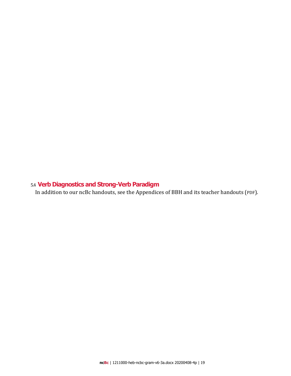# <span id="page-18-0"></span>5.4 **Verb Diagnostics and Strong-Verb Paradigm**

In addition to our ncBc handouts, see the Appendices of BBH and its teacher handouts (PDF).